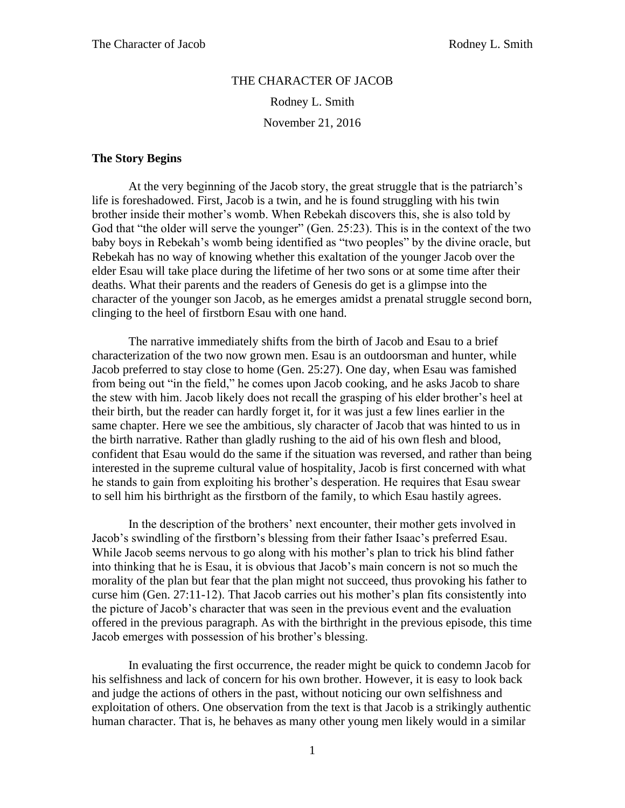## THE CHARACTER OF JACOB

Rodney L. Smith

November 21, 2016

## **The Story Begins**

At the very beginning of the Jacob story, the great struggle that is the patriarch's life is foreshadowed. First, Jacob is a twin, and he is found struggling with his twin brother inside their mother's womb. When Rebekah discovers this, she is also told by God that "the older will serve the younger" (Gen. 25:23). This is in the context of the two baby boys in Rebekah's womb being identified as "two peoples" by the divine oracle, but Rebekah has no way of knowing whether this exaltation of the younger Jacob over the elder Esau will take place during the lifetime of her two sons or at some time after their deaths. What their parents and the readers of Genesis do get is a glimpse into the character of the younger son Jacob, as he emerges amidst a prenatal struggle second born, clinging to the heel of firstborn Esau with one hand.

The narrative immediately shifts from the birth of Jacob and Esau to a brief characterization of the two now grown men. Esau is an outdoorsman and hunter, while Jacob preferred to stay close to home (Gen. 25:27). One day, when Esau was famished from being out "in the field," he comes upon Jacob cooking, and he asks Jacob to share the stew with him. Jacob likely does not recall the grasping of his elder brother's heel at their birth, but the reader can hardly forget it, for it was just a few lines earlier in the same chapter. Here we see the ambitious, sly character of Jacob that was hinted to us in the birth narrative. Rather than gladly rushing to the aid of his own flesh and blood, confident that Esau would do the same if the situation was reversed, and rather than being interested in the supreme cultural value of hospitality, Jacob is first concerned with what he stands to gain from exploiting his brother's desperation. He requires that Esau swear to sell him his birthright as the firstborn of the family, to which Esau hastily agrees.

In the description of the brothers' next encounter, their mother gets involved in Jacob's swindling of the firstborn's blessing from their father Isaac's preferred Esau. While Jacob seems nervous to go along with his mother's plan to trick his blind father into thinking that he is Esau, it is obvious that Jacob's main concern is not so much the morality of the plan but fear that the plan might not succeed, thus provoking his father to curse him (Gen. 27:11-12). That Jacob carries out his mother's plan fits consistently into the picture of Jacob's character that was seen in the previous event and the evaluation offered in the previous paragraph. As with the birthright in the previous episode, this time Jacob emerges with possession of his brother's blessing.

In evaluating the first occurrence, the reader might be quick to condemn Jacob for his selfishness and lack of concern for his own brother. However, it is easy to look back and judge the actions of others in the past, without noticing our own selfishness and exploitation of others. One observation from the text is that Jacob is a strikingly authentic human character. That is, he behaves as many other young men likely would in a similar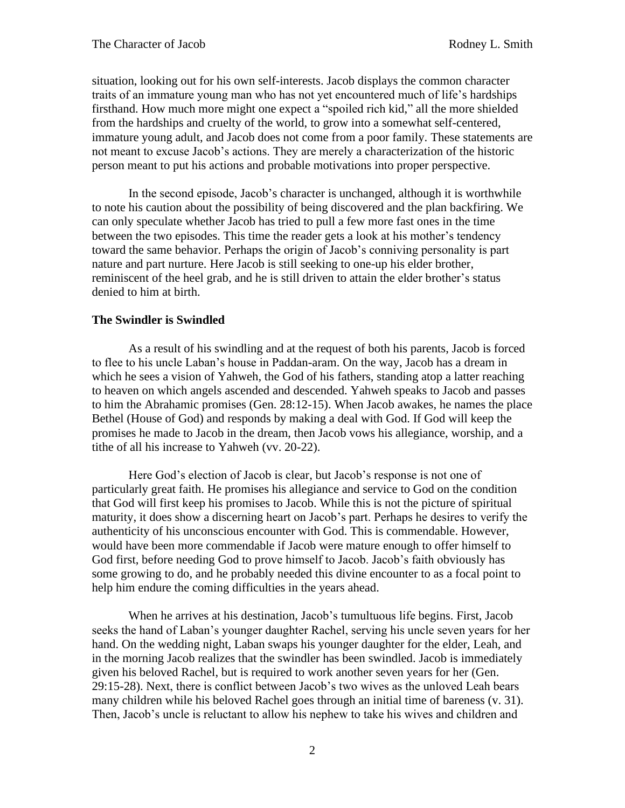situation, looking out for his own self-interests. Jacob displays the common character traits of an immature young man who has not yet encountered much of life's hardships firsthand. How much more might one expect a "spoiled rich kid," all the more shielded from the hardships and cruelty of the world, to grow into a somewhat self-centered, immature young adult, and Jacob does not come from a poor family. These statements are not meant to excuse Jacob's actions. They are merely a characterization of the historic person meant to put his actions and probable motivations into proper perspective.

In the second episode, Jacob's character is unchanged, although it is worthwhile to note his caution about the possibility of being discovered and the plan backfiring. We can only speculate whether Jacob has tried to pull a few more fast ones in the time between the two episodes. This time the reader gets a look at his mother's tendency toward the same behavior. Perhaps the origin of Jacob's conniving personality is part nature and part nurture. Here Jacob is still seeking to one-up his elder brother, reminiscent of the heel grab, and he is still driven to attain the elder brother's status denied to him at birth.

## **The Swindler is Swindled**

As a result of his swindling and at the request of both his parents, Jacob is forced to flee to his uncle Laban's house in Paddan-aram. On the way, Jacob has a dream in which he sees a vision of Yahweh, the God of his fathers, standing atop a latter reaching to heaven on which angels ascended and descended. Yahweh speaks to Jacob and passes to him the Abrahamic promises (Gen. 28:12-15). When Jacob awakes, he names the place Bethel (House of God) and responds by making a deal with God. If God will keep the promises he made to Jacob in the dream, then Jacob vows his allegiance, worship, and a tithe of all his increase to Yahweh (vv. 20-22).

Here God's election of Jacob is clear, but Jacob's response is not one of particularly great faith. He promises his allegiance and service to God on the condition that God will first keep his promises to Jacob. While this is not the picture of spiritual maturity, it does show a discerning heart on Jacob's part. Perhaps he desires to verify the authenticity of his unconscious encounter with God. This is commendable. However, would have been more commendable if Jacob were mature enough to offer himself to God first, before needing God to prove himself to Jacob. Jacob's faith obviously has some growing to do, and he probably needed this divine encounter to as a focal point to help him endure the coming difficulties in the years ahead.

When he arrives at his destination, Jacob's tumultuous life begins. First, Jacob seeks the hand of Laban's younger daughter Rachel, serving his uncle seven years for her hand. On the wedding night, Laban swaps his younger daughter for the elder, Leah, and in the morning Jacob realizes that the swindler has been swindled. Jacob is immediately given his beloved Rachel, but is required to work another seven years for her (Gen. 29:15-28). Next, there is conflict between Jacob's two wives as the unloved Leah bears many children while his beloved Rachel goes through an initial time of bareness (v. 31). Then, Jacob's uncle is reluctant to allow his nephew to take his wives and children and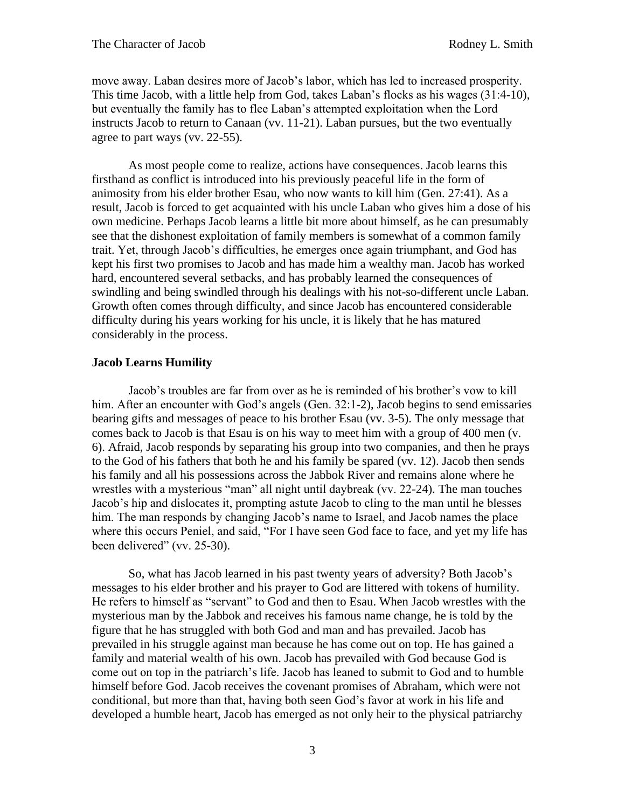move away. Laban desires more of Jacob's labor, which has led to increased prosperity. This time Jacob, with a little help from God, takes Laban's flocks as his wages (31:4-10), but eventually the family has to flee Laban's attempted exploitation when the Lord instructs Jacob to return to Canaan (vv. 11-21). Laban pursues, but the two eventually agree to part ways (vv. 22-55).

As most people come to realize, actions have consequences. Jacob learns this firsthand as conflict is introduced into his previously peaceful life in the form of animosity from his elder brother Esau, who now wants to kill him (Gen. 27:41). As a result, Jacob is forced to get acquainted with his uncle Laban who gives him a dose of his own medicine. Perhaps Jacob learns a little bit more about himself, as he can presumably see that the dishonest exploitation of family members is somewhat of a common family trait. Yet, through Jacob's difficulties, he emerges once again triumphant, and God has kept his first two promises to Jacob and has made him a wealthy man. Jacob has worked hard, encountered several setbacks, and has probably learned the consequences of swindling and being swindled through his dealings with his not-so-different uncle Laban. Growth often comes through difficulty, and since Jacob has encountered considerable difficulty during his years working for his uncle, it is likely that he has matured considerably in the process.

## **Jacob Learns Humility**

Jacob's troubles are far from over as he is reminded of his brother's vow to kill him. After an encounter with God's angels (Gen. 32:1-2), Jacob begins to send emissaries bearing gifts and messages of peace to his brother Esau (vv. 3-5). The only message that comes back to Jacob is that Esau is on his way to meet him with a group of 400 men (v. 6). Afraid, Jacob responds by separating his group into two companies, and then he prays to the God of his fathers that both he and his family be spared (vv. 12). Jacob then sends his family and all his possessions across the Jabbok River and remains alone where he wrestles with a mysterious "man" all night until daybreak (vv. 22-24). The man touches Jacob's hip and dislocates it, prompting astute Jacob to cling to the man until he blesses him. The man responds by changing Jacob's name to Israel, and Jacob names the place where this occurs Peniel, and said, "For I have seen God face to face, and yet my life has been delivered" (vv. 25-30).

So, what has Jacob learned in his past twenty years of adversity? Both Jacob's messages to his elder brother and his prayer to God are littered with tokens of humility. He refers to himself as "servant" to God and then to Esau. When Jacob wrestles with the mysterious man by the Jabbok and receives his famous name change, he is told by the figure that he has struggled with both God and man and has prevailed. Jacob has prevailed in his struggle against man because he has come out on top. He has gained a family and material wealth of his own. Jacob has prevailed with God because God is come out on top in the patriarch's life. Jacob has leaned to submit to God and to humble himself before God. Jacob receives the covenant promises of Abraham, which were not conditional, but more than that, having both seen God's favor at work in his life and developed a humble heart, Jacob has emerged as not only heir to the physical patriarchy